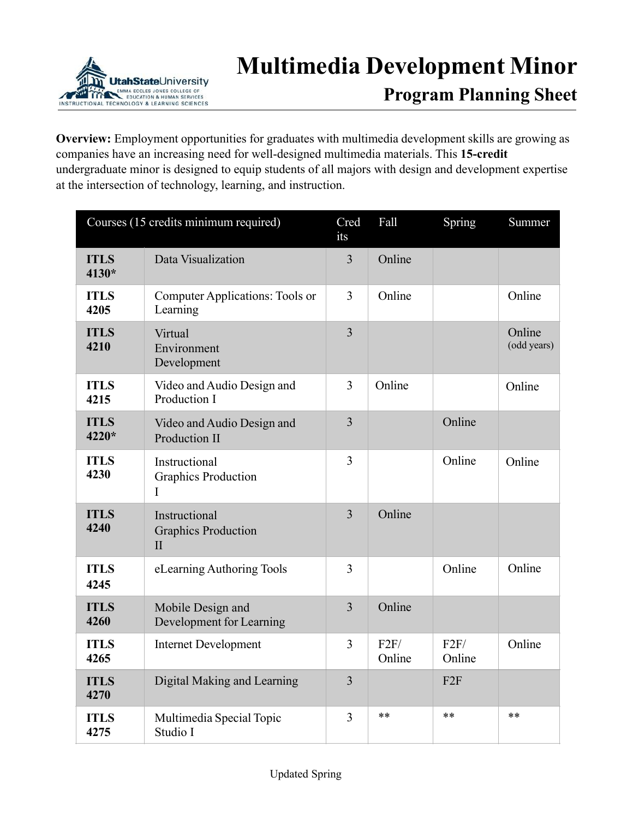

**Program Planning Sheet**

**Overview:** Employment opportunities for graduates with multimedia development skills are growing as companies have an increasing need for well-designed multimedia materials. This **15-credit** undergraduate minor is designed to equip students of all majors with design and development expertise at the intersection of technology, learning, and instruction.

| Courses (15 credits minimum required) |                                                             | Cred<br>its    | Fall           | Spring         | Summer                |
|---------------------------------------|-------------------------------------------------------------|----------------|----------------|----------------|-----------------------|
| <b>ITLS</b><br>4130*                  | Data Visualization                                          | $\overline{3}$ | Online         |                |                       |
| <b>ITLS</b><br>4205                   | Computer Applications: Tools or<br>Learning                 | 3              | Online         |                | Online                |
| <b>ITLS</b><br>4210                   | Virtual<br>Environment<br>Development                       | $\overline{3}$ |                |                | Online<br>(odd years) |
| <b>ITLS</b><br>4215                   | Video and Audio Design and<br>Production I                  | 3              | Online         |                | Online                |
| <b>ITLS</b><br>4220*                  | Video and Audio Design and<br><b>Production II</b>          | $\overline{3}$ |                | Online         |                       |
| <b>ITLS</b><br>4230                   | Instructional<br><b>Graphics Production</b><br>I            | $\overline{3}$ |                | Online         | Online                |
| <b>ITLS</b><br>4240                   | Instructional<br><b>Graphics Production</b><br>$\mathbf{I}$ | $\overline{3}$ | Online         |                |                       |
| <b>ITLS</b><br>4245                   | eLearning Authoring Tools                                   | 3              |                | Online         | Online                |
| <b>ITLS</b><br>4260                   | Mobile Design and<br>Development for Learning               | $\overline{3}$ | Online         |                |                       |
| <b>ITLS</b><br>4265                   | <b>Internet Development</b>                                 | 3              | F2F/<br>Online | F2F/<br>Online | Online                |
| <b>ITLS</b><br>4270                   | Digital Making and Learning                                 | $\overline{3}$ |                | F2F            |                       |
| <b>ITLS</b><br>4275                   | Multimedia Special Topic<br>Studio I                        | $\overline{3}$ | $**$           | $**$           | **                    |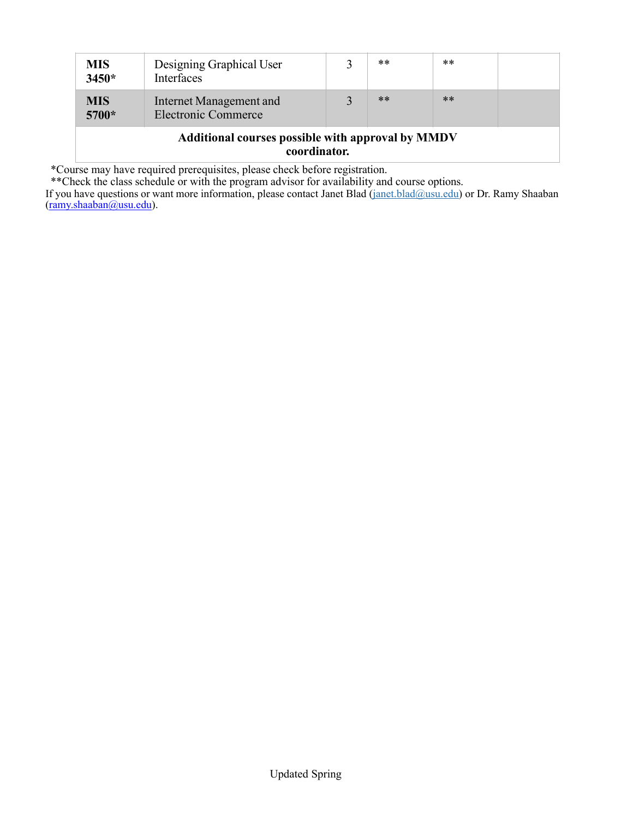| <b>MIS</b><br>$3450*$                                                    | Designing Graphical User<br>Interfaces                |  | **    | $***$ |  |  |  |  |
|--------------------------------------------------------------------------|-------------------------------------------------------|--|-------|-------|--|--|--|--|
| <b>MIS</b><br>5700*                                                      | Internet Management and<br><b>Electronic Commerce</b> |  | $***$ | $**$  |  |  |  |  |
| <b>Additional courses possible with approval by MMDV</b><br>coordinator. |                                                       |  |       |       |  |  |  |  |

\*Course may have required prerequisites, please check before registration.

\*\*Check the class schedule or with the program advisor for availability and course options.

If you have questions or want more information, please contact Janet Blad ([janet.blad@usu.edu\)](mailto:janet.blad@usu.edu) or Dr. Ramy Shaaban ([ramy.shaaban@usu.edu\)](mailto:ramy.shaaban@usu.edu).